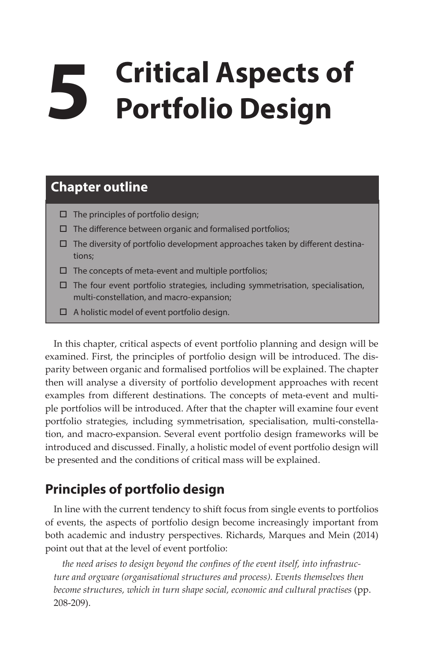# **5 Critical Aspects of Portfolio Design**

## **Chapter outline**

- $\square$  The principles of portfolio design;
- $\square$  The difference between organic and formalised portfolios;
- $\Box$  The diversity of portfolio development approaches taken by different destinations;
- $\square$  The concepts of meta-event and multiple portfolios;
- $\Box$  The four event portfolio strategies, including symmetrisation, specialisation, multi-constellation, and macro-expansion;
- $\Box$  A holistic model of event portfolio design.

In this chapter, critical aspects of event portfolio planning and design will be examined. First, the principles of portfolio design will be introduced. The disparity between organic and formalised portfolios will be explained. The chapter then will analyse a diversity of portfolio development approaches with recent examples from different destinations. The concepts of meta-event and multiple portfolios will be introduced. After that the chapter will examine four event portfolio strategies, including symmetrisation, specialisation, multi-constellation, and macro-expansion. Several event portfolio design frameworks will be introduced and discussed. Finally, a holistic model of event portfolio design will be presented and the conditions of critical mass will be explained.

## **Principles of portfolio design**

In line with the current tendency to shift focus from single events to portfolios of events, the aspects of portfolio design become increasingly important from both academic and industry perspectives. Richards, Marques and Mein (2014) point out that at the level of event portfolio:

*the need arises to design beyond the confines of the event itself, into infrastructure and orgware (organisational structures and process). Events themselves then become structures, which in turn shape social, economic and cultural practises* (pp. 208-209).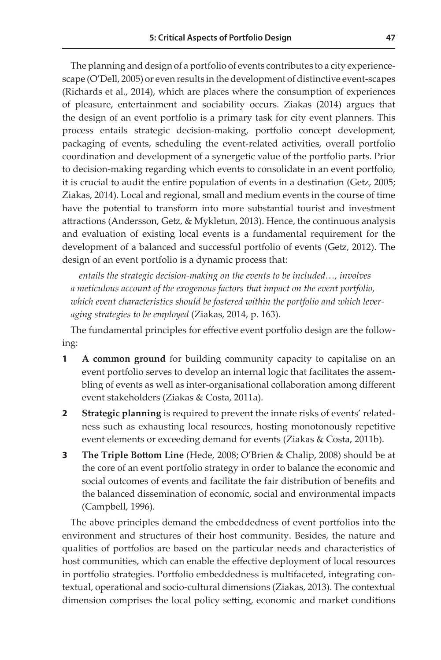The planning and design of a portfolio of events contributes to a city experiencescape (O'Dell, 2005) or even results in the development of distinctive event-scapes (Richards et al., 2014), which are places where the consumption of experiences of pleasure, entertainment and sociability occurs. Ziakas (2014) argues that the design of an event portfolio is a primary task for city event planners. This process entails strategic decision-making, portfolio concept development, packaging of events, scheduling the event-related activities, overall portfolio coordination and development of a synergetic value of the portfolio parts. Prior to decision-making regarding which events to consolidate in an event portfolio, it is crucial to audit the entire population of events in a destination (Getz, 2005; Ziakas, 2014). Local and regional, small and medium events in the course of time have the potential to transform into more substantial tourist and investment attractions (Andersson, Getz, & Mykletun, 2013). Hence, the continuous analysis and evaluation of existing local events is a fundamental requirement for the development of a balanced and successful portfolio of events (Getz, 2012). The design of an event portfolio is a dynamic process that:

*entails the strategic decision-making on the events to be included…, involves a meticulous account of the exogenous factors that impact on the event portfolio, which event characteristics should be fostered within the portfolio and which leveraging strategies to be employed* (Ziakas, 2014, p. 163).

The fundamental principles for effective event portfolio design are the following:

- **1 A common ground** for building community capacity to capitalise on an event portfolio serves to develop an internal logic that facilitates the assembling of events as well as inter-organisational collaboration among different event stakeholders (Ziakas & Costa, 2011a).
- **2 Strategic planning** is required to prevent the innate risks of events' relatedness such as exhausting local resources, hosting monotonously repetitive event elements or exceeding demand for events (Ziakas & Costa, 2011b).
- **3 The Triple Bottom Line** (Hede, 2008; O'Brien & Chalip, 2008) should be at the core of an event portfolio strategy in order to balance the economic and social outcomes of events and facilitate the fair distribution of benefits and the balanced dissemination of economic, social and environmental impacts (Campbell, 1996).

The above principles demand the embeddedness of event portfolios into the environment and structures of their host community. Besides, the nature and qualities of portfolios are based on the particular needs and characteristics of host communities, which can enable the effective deployment of local resources in portfolio strategies. Portfolio embeddedness is multifaceted, integrating contextual, operational and socio-cultural dimensions (Ziakas, 2013). The contextual dimension comprises the local policy setting, economic and market conditions